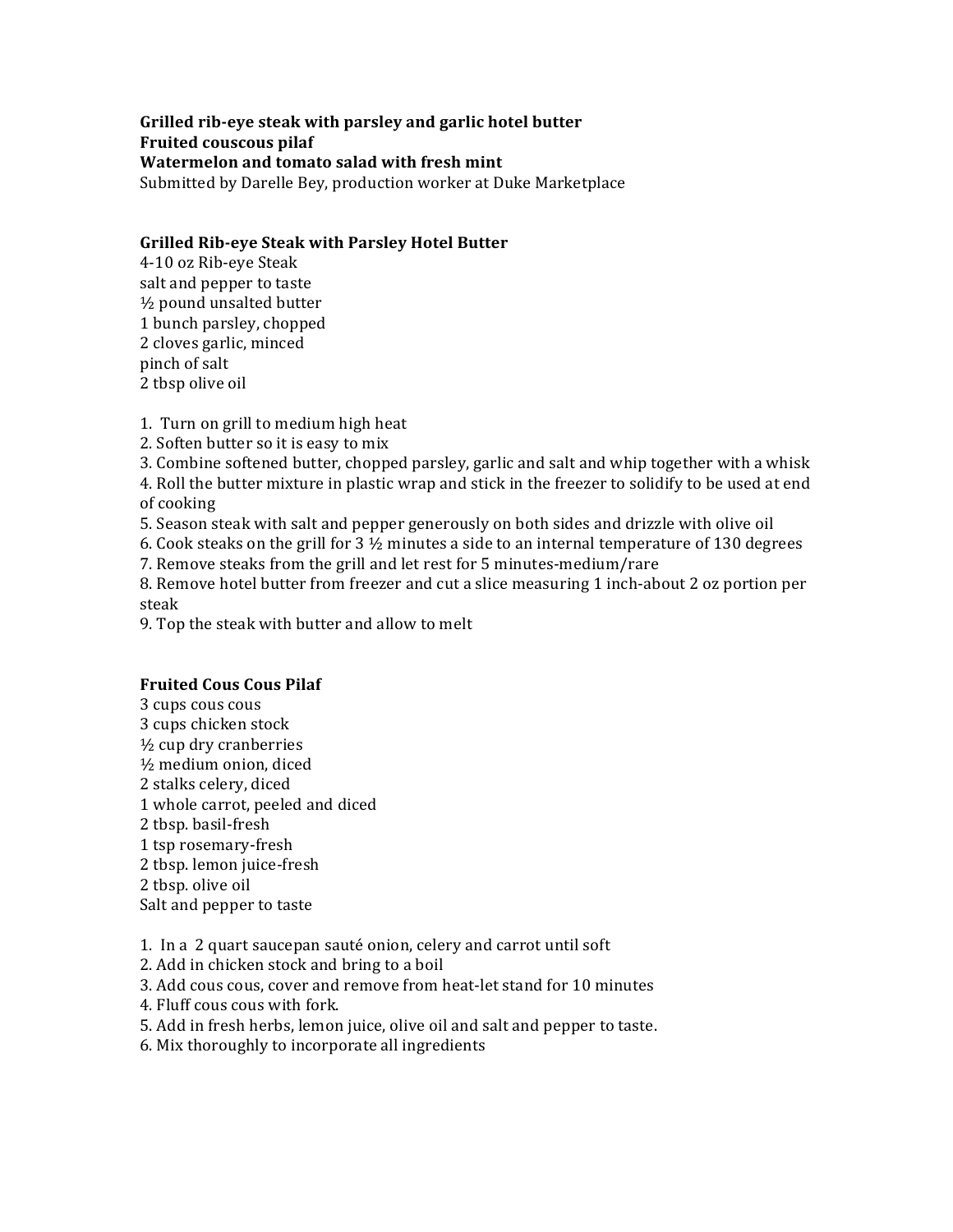## Grilled rib-eye steak with parsley and garlic hotel butter **Fruited couscous pilaf Watermelon and tomato salad with fresh mint** Submitted by Darelle Bey, production worker at Duke Marketplace

## **Grilled Rib-eye Steak with Parsley Hotel Butter**

4-10 oz Rib-eye Steak salt and pepper to taste  $\frac{1}{2}$  pound unsalted butter 1 bunch parsley, chopped 2 cloves garlic, minced pinch of salt 2 tbsp olive oil

1. Turn on grill to medium high heat

2. Soften butter so it is easy to mix

3. Combine softened butter, chopped parsley, garlic and salt and whip together with a whisk

4. Roll the butter mixture in plastic wrap and stick in the freezer to solidify to be used at end of cooking

5. Season steak with salt and pepper generously on both sides and drizzle with olive oil

6. Cook steaks on the grill for  $3\frac{1}{2}$  minutes a side to an internal temperature of 130 degrees

7. Remove steaks from the grill and let rest for 5 minutes-medium/rare

8. Remove hotel butter from freezer and cut a slice measuring 1 inch-about 2 oz portion per steak

9. Top the steak with butter and allow to melt

## **Fruited Cous Cous Pilaf**

3 cups cous cous 3 cups chicken stock  $\frac{1}{2}$  cup dry cranberries  $\frac{1}{2}$  medium onion, diced 2 stalks celery, diced 1 whole carrot, peeled and diced 2 tbsp. basil-fresh 1 tsp rosemary-fresh 2 tbsp. lemon juice-fresh 2 tbsp. olive oil Salt and pepper to taste

1. In a 2 quart saucepan sauté onion, celery and carrot until soft

2. Add in chicken stock and bring to a boil

3. Add cous cous, cover and remove from heat-let stand for 10 minutes

- 4. Fluff cous cous with fork.
- 5. Add in fresh herbs, lemon juice, olive oil and salt and pepper to taste.
- 6. Mix thoroughly to incorporate all ingredients